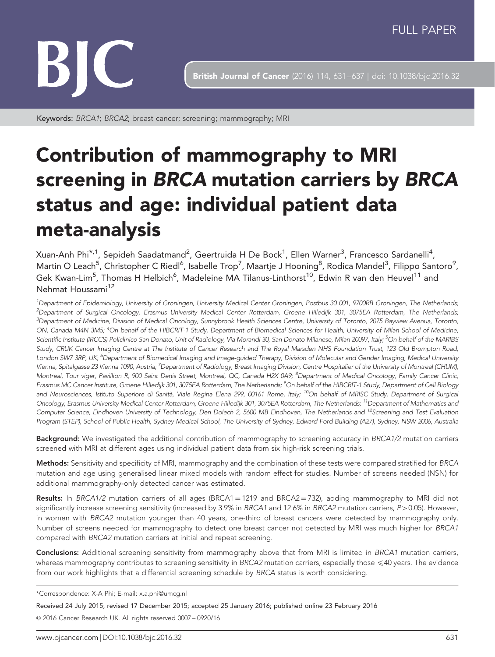

**British Journal of Cancer** (2016) 114, 631-637 | doi: 10.1038/bjc.2016.32

Keywords: BRCA1; BRCA2; breast cancer; screening; mammography; MRI

# Contribution of mammography to MRI screening in BRCA mutation carriers by BRCA status and age: individual patient data meta-analysis

Xuan-Anh Phi $^{\star,1}$ , Sepideh Saadatmand $^2$ , Geertruida H De Bock $^1$ , Ellen Warner $^3$ , Francesco Sardanelli $^4$ , Martin O Leach<sup>5</sup>, Christopher C Riedl<sup>6</sup>, Isabelle Trop<sup>7</sup>, Maartje J Hooning<sup>8</sup>, Rodica Mandel<sup>3</sup>, Filippo Santoro<sup>9</sup>, Gek Kwan-Lim $^5$ , Thomas H Helbich $^6$ , Madeleine MA Tilanus-Linthorst $^{10}$ , Edwin R van den Heuvel $^{11}$  and Nehmat Houssami<sup>12</sup>

<sup>1</sup>Department of Epidemiology, University of Groningen, University Medical Center Groningen, Postbus 30 001, 9700RB Groningen, The Netherlands, <sup>2</sup>Department of Surgical Oncology, Erasmus University Medical Center Rotterdam, Groene Hilledijk 301, 3075EA Rotterdam, The Netherlands; <sup>3</sup>Department of Medicine, Division of Medical Oncology, Sunnybrook Health Sciences Centre, University of Toronto, 2075 Bayview Avenua, Toronto, ON, Canada M4N 3M5; <sup>4</sup>On behalf of the HIBCRIT-1 Study, Department of Biomedical Sciences for Health, University of Milan School of Medicine, Scientific Institute (IRCCS) Policlinico San Donato, Unit of Radiology, Via Morandi 30, San Donato Milanese, Milan 20097, Italy; <sup>5</sup>On behalf of the MARIBS Study, CRUK Cancer Imaging Centre at The Institute of Cancer Research and The Royal Marsden NHS Foundation Trust, 123 Old Brompton Road, London SW7 3RP, UK; <sup>6</sup>Department of Biomedical Imaging and Image-guided Therapy, Division of Molecular and Gender Imaging, Medical University Vienna, Spitalgasse 23 Vienna 1090, Austria; <sup>7</sup>Department of Radiology, Breast Imaging Division, Centre Hospitalier of the University of Montreal (CHUM), Montreal, Tour viger, Pavillion R, 900 Saint Denis Street, Montreal, QC, Canada H2X 0A9; <sup>8</sup>Department of Medical Oncology, Family Cancer Clinic, Erasmus MC Cancer Institute, Groene Hilledijk 301, 3075EA Rotterdam, The Netherlands; <sup>9</sup>On behalf of the HIBCRIT-1 Study, Department of Cell Biology and Neurosciences, Istituto Superiore di Sanità, Viale Regina Elena 299, 00161 Rome, Italy; <sup>10</sup>On behalf of MRISC Study, Department of Surgical Oncology, Erasmus University Medical Center Rotterdam, Groene Hilledijk 301, 3075EA Rotterdam, The Netherlands; <sup>11</sup>Department of Mathematics and Computer Science, Eindhoven University of Technology, Den Dolech 2, 5600 MB Eindhoven, The Netherlands and <sup>12</sup>Screening and Test Evaluation Program (STEP), School of Public Health, Sydney Medical School, The University of Sydney, Edward Ford Building (A27), Sydney, NSW 2006, Australia

Background: We investigated the additional contribution of mammography to screening accuracy in BRCA1/2 mutation carriers screened with MRI at different ages using individual patient data from six high-risk screening trials.

Methods: Sensitivity and specificity of MRI, mammography and the combination of these tests were compared stratified for BRCA mutation and age using generalised linear mixed models with random effect for studies. Number of screens needed (NSN) for additional mammography-only detected cancer was estimated.

Results: In BRCA1/2 mutation carriers of all ages (BRCA1 = 1219 and BRCA2 = 732), adding mammography to MRI did not significantly increase screening sensitivity (increased by 3.9% in BRCA1 and 12.6% in BRCA2 mutation carriers,  $P > 0.05$ ). However, in women with BRCA2 mutation younger than 40 years, one-third of breast cancers were detected by mammography only. Number of screens needed for mammography to detect one breast cancer not detected by MRI was much higher for BRCA1 compared with BRCA2 mutation carriers at initial and repeat screening.

Conclusions: Additional screening sensitivity from mammography above that from MRI is limited in BRCA1 mutation carriers, whereas mammography contributes to screening sensitivity in BRCA2 mutation carriers, especially those  $\leq 40$  years. The evidence from our work highlights that a differential screening schedule by BRCA status is worth considering.

<sup>\*</sup>Correspondence: X-A Phi; E-mail: [x.a.phi@umcg.nl](mailto:x.a.phi@umcg.nl)

Received 24 July 2015; revised 17 December 2015; accepted 25 January 2016; published online 23 February 2016 & 2016 Cancer Research UK. All rights reserved 0007 – 0920/16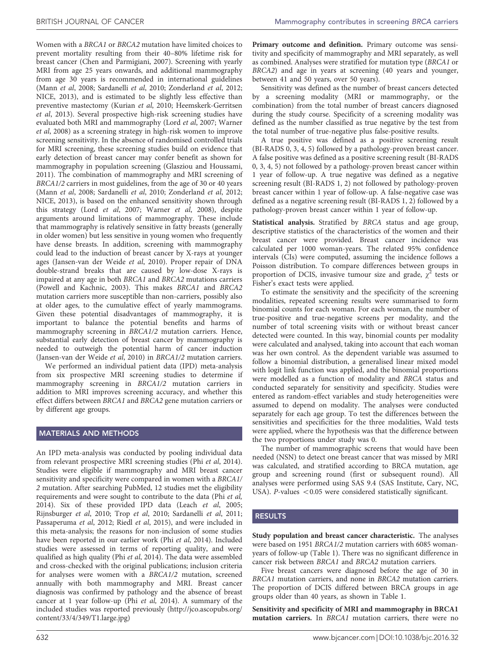Women with a BRCA1 or BRCA2 mutation have limited choices to prevent mortality resulting from their 40–80% lifetime risk for breast cancer [\(Chen and Parmigiani, 2007\)](#page-5-0). Screening with yearly MRI from age 25 years onwards, and additional mammography from age 30 years is recommended in international guidelines (Mann et al[, 2008](#page-5-0); [Sardanelli](#page-5-0) et al, 2010; [Zonderland](#page-6-0) et al, 2012; [NICE, 2013](#page-5-0)), and is estimated to be slightly less effective than preventive mastectomy ([Kurian](#page-5-0) et al, 2010; [Heemskerk-Gerritsen](#page-5-0) et al[, 2013](#page-5-0)). Several prospective high-risk screening studies have evaluated both MRI and mammography (Lord et al[, 2007](#page-5-0); [Warner](#page-6-0) et al[, 2008](#page-6-0)) as a screening strategy in high-risk women to improve screening sensitivity. In the absence of randomised controlled trials for MRI screening, these screening studies build on evidence that early detection of breast cancer may confer benefit as shown for mammography in population screening ([Glasziou and Houssami,](#page-5-0) [2011](#page-5-0)). The combination of mammography and MRI screening of BRCA1/2 carriers in most guidelines, from the age of 30 or 40 years (Mann et al[, 2008](#page-5-0); [Sardanelli](#page-5-0) et al, 2010; [Zonderland](#page-6-0) et al, 2012; [NICE, 2013\)](#page-5-0), is based on the enhanced sensitivity shown through this strategy (Lord et al[, 2007](#page-5-0); [Warner](#page-6-0) et al, 2008), despite arguments around limitations of mammography. These include that mammography is relatively sensitive in fatty breasts (generally in older women) but less sensitive in young women who frequently have dense breasts. In addition, screening with mammography could lead to the induction of breast cancer by X-rays at younger ages [\(Jansen-van der Weide](#page-5-0) et al, 2010). Proper repair of DNA double-strand breaks that are caused by low-dose X-rays is impaired at any age in both BRCA1 and BRCA2 mutations carriers ([Powell and Kachnic, 2003\)](#page-5-0). This makes BRCA1 and BRCA2 mutation carriers more susceptible than non-carriers, possibly also at older ages, to the cumulative effect of yearly mammograms. Given these potential disadvantages of mammography, it is important to balance the potential benefits and harms of mammography screening in BRCA1/2 mutation carriers. Hence, substantial early detection of breast cancer by mammography is needed to outweigh the potential harm of cancer induction ([Jansen-van der Weide](#page-5-0) et al, 2010) in BRCA1/2 mutation carriers.

We performed an individual patient data (IPD) meta-analysis from six prospective MRI screening studies to determine if mammography screening in BRCA1/2 mutation carriers in addition to MRI improves screening accuracy, and whether this effect differs between BRCA1 and BRCA2 gene mutation carriers or by different age groups.

# MATERIALS AND METHODS

An IPD meta-analysis was conducted by pooling individual data from relevant prospective MRI screening studies (Phi et al[, 2014](#page-5-0)). Studies were eligible if mammography and MRI breast cancer sensitivity and specificity were compared in women with a BRCA1/ 2 mutation. After searching PubMed, 12 studies met the eligibility requirements and were sought to contribute to the data (Phi [et al,](#page-5-0) [2014](#page-5-0)). Six of these provided IPD data (Leach et al[, 2005;](#page-5-0) [Rijnsburger](#page-5-0) et al, 2010; Trop et al[, 2010; Sardanelli](#page-6-0) et al, 2011; [Passaperuma](#page-5-0) et al, 2012; Riedl et al[, 2015\)](#page-5-0), and were included in this meta-analysis; the reasons for non-inclusion of some studies have been reported in our earlier work (Phi et al[, 2014\)](#page-5-0). Included studies were assessed in terms of reporting quality, and were qualified as high quality (Phi et al[, 2014](#page-5-0)). The data were assembled and cross-checked with the original publications; inclusion criteria for analyses were women with a BRCA1/2 mutation, screened annually with both mammography and MRI. Breast cancer diagnosis was confirmed by pathology and the absence of breast cancer at 1 year follow-up (Phi [et al,](#page-5-0) 2014). A summary of the included studies was reported previously ([http://jco.ascopubs.org/](http://jco.ascopubs.org/content/33/4/349/T1.large.jpg) [content/33/4/349/T1.large.jpg\)](http://jco.ascopubs.org/content/33/4/349/T1.large.jpg)

Sensitivity was defined as the number of breast cancers detected by a screening modality (MRI or mammography, or the combination) from the total number of breast cancers diagnosed during the study course. Specificity of a screening modality was defined as the number classified as true negative by the test from the total number of true-negative plus false-positive results.

A true positive was defined as a positive screening result (BI-RADS 0, 3, 4, 5) followed by a pathology-proven breast cancer. A false positive was defined as a positive screening result (BI-RADS 0, 3, 4, 5) not followed by a pathology-proven breast cancer within 1 year of follow-up. A true negative was defined as a negative screening result (BI-RADS 1, 2) not followed by pathology-proven breast cancer within 1 year of follow-up. A false-negative case was defined as a negative screening result (BI-RADS 1, 2) followed by a pathology-proven breast cancer within 1 year of follow-up.

Statistical analysis. Stratified by BRCA status and age group, descriptive statistics of the characteristics of the women and their breast cancer were provided. Breast cancer incidence was calculated per 1000 woman-years. The related 95% confidence intervals (CIs) were computed, assuming the incidence follows a Poisson distribution. To compare differences between groups in proportion of DCIS, invasive tumour size and grade,  $\chi^2$  tests or Fisher's exact tests were applied.

To estimate the sensitivity and the specificity of the screening modalities, repeated screening results were summarised to form binomial counts for each woman. For each woman, the number of true-positive and true-negative screens per modality, and the number of total screening visits with or without breast cancer detected were counted. In this way, binomial counts per modality were calculated and analysed, taking into account that each woman was her own control. As the dependent variable was assumed to follow a binomial distribution, a generalised linear mixed model with logit link function was applied, and the binomial proportions were modelled as a function of modality and BRCA status and conducted separately for sensitivity and specificity. Studies were entered as random-effect variables and study heterogeneities were assumed to depend on modality. The analyses were conducted separately for each age group. To test the differences between the sensitivities and specificities for the three modalities, Wald tests were applied, where the hypothesis was that the difference between the two proportions under study was 0.

The number of mammographic screens that would have been needed (NSN) to detect one breast cancer that was missed by MRI was calculated, and stratified according to BRCA mutation, age group and screening round (first or subsequent round). All analyses were performed using SAS 9.4 (SAS Institute, Cary, NC, USA). P-values  $< 0.05$  were considered statistically significant.

# RESULTS

Study population and breast cancer characteristic. The analyses were based on 1951 BRCA1/2 mutation carriers with 6085 womanyears of follow-up [\(Table 1\)](#page-2-0). There was no significant difference in cancer risk between BRCA1 and BRCA2 mutation carriers.

Five breast cancers were diagnosed before the age of 30 in BRCA1 mutation carriers, and none in BRCA2 mutation carriers. The proportion of DCIS differed between BRCA groups in age groups older than 40 years, as shown in [Table 1](#page-2-0).

Sensitivity and specificity of MRI and mammography in BRCA1 mutation carriers. In BRCA1 mutation carriers, there were no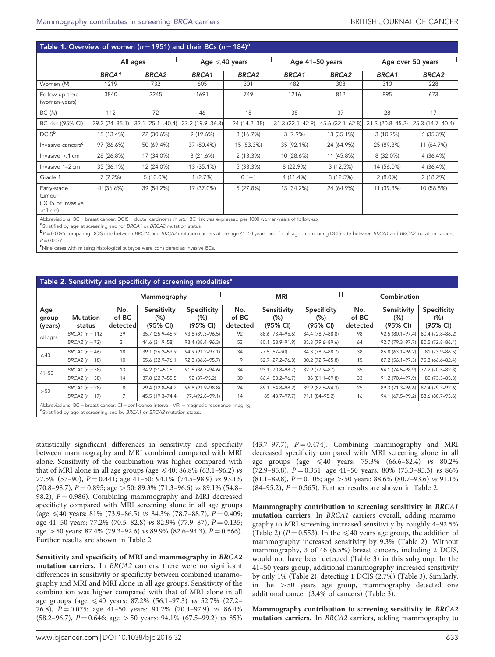## <span id="page-2-0"></span>Table 1. Overview of women ( $n = 1951$ ) and their BCs ( $n = 184$ )<sup>a</sup>

|                                                         | All ages       |                       |                  | Age $\leq 40$ years |                  | Age 41-50 years   |                  | Age over 50 years |  |
|---------------------------------------------------------|----------------|-----------------------|------------------|---------------------|------------------|-------------------|------------------|-------------------|--|
|                                                         | <b>BRCA1</b>   | <b>BRCA2</b>          | BRCA1            | <b>BRCA2</b>        | BRCA1            | BRCA <sub>2</sub> | BRCA1            | <b>BRCA2</b>      |  |
| Women (N)                                               | 1219           | 732                   | 605              | 301                 | 482              | 308               | 310              | 228               |  |
| Follow-up time<br>(woman-years)                         | 3840           | 2245                  | 1691             | 749                 | 1216             | 812               | 895              | 673               |  |
| BC (N)                                                  | 112            | 72                    | 46               | 18                  | 38               | 37                | 28               | 17                |  |
| BC risk ((95% CI)                                       | 29.2 (24-35.1) | $32.1 (25.1 - .40.4)$ | 27.2 (19.9-36.3) | 24 (14.2-38)        | 31.3 (22.1-42.9) | 45.6 (32.1-62.8)  | 31.3 (20.8-45.2) | 25.3 (14.7-40.4)  |  |
| DCIS <sup>b</sup>                                       | 15 (13.4%)     | 22 (30.6%)            | 9(19.6%)         | 3(16.7%)            | $3(7.9\%)$       | 13 (35.1%)        | 3(10.7%)         | 6(35.3%)          |  |
| Invasive cancers <sup>c</sup>                           | 97 (86.6%)     | 50 (69.4%)            | 37 (80.4%)       | 15 (83.3%)          | 35 (92.1%)       | 24 (64.9%)        | 25 (89.3%)       | 11 (64.7%)        |  |
| Invasive $<$ 1 cm                                       | 26 (26.8%)     | 17 (34.0%)            | 8 (21.6%)        | 2(13.3%)            | 10 (28.6%)       | 11 (45.8%)        | 8 (32.0%)        | 4 (36.4%)         |  |
| Invasive 1-2 cm                                         | 35 (36.1%)     | 12 (24.0%)            | 13 (35.1%)       | 5(33.3%)            | 8 (22.9%)        | 3(12.5%)          | 14 (56.0%)       | 4 (36.4%)         |  |
| Grade 1                                                 | 7(7.2%)        | $5(10.0\%)$           | 1(2.7%)          | $0(-)$              | 4 (11.4%)        | 3(12.5%)          | $2(8.0\%)$       | 2(18.2%)          |  |
| Early-stage<br>tumour<br>(DCIS or invasive<br>$<$ 1 cm) | 41(36.6%)      | 39 (54.2%)            | 17 (37.0%)       | 5(27.8%)            | 13 (34.2%)       | 24 (64.9%)        | 11 (39.3%)       | 10 (58.8%)        |  |

Abbreviations: BC=breast cancer; DCIS=ductal carcinoma *in situ*. BC risk was expressed per 1000 woman-years of follow-up.<br><sup>a</sup>Stratified by age at screening and for BRCA1 or BRCA2 mutation status

"Stratified by age at screening and for BRCA1 or BRCA2 mutation status<br>PP=0.0095 comparing DCIS rate between BRCA1 and BRCA2 mutation carriers at the age 41–50 years, and for all ages, comparing DCIS rate between BRCA1 and  $P = 0.0077$ 

 $\mathsf{c}_\mathsf{N}$ ine cases with missing histological subtype were considered as invasive BCs

#### Table 2. Sensitivity and specificity of screening modalities<sup>a</sup>

|                                                                                                                                                                                      | Mammography               |                          |                                   | <b>MRI</b>                     |                          |                                    | Combination                       |                          |                                   |                                   |
|--------------------------------------------------------------------------------------------------------------------------------------------------------------------------------------|---------------------------|--------------------------|-----------------------------------|--------------------------------|--------------------------|------------------------------------|-----------------------------------|--------------------------|-----------------------------------|-----------------------------------|
| Age<br>group<br>(years)                                                                                                                                                              | <b>Mutation</b><br>status | No.<br>of BC<br>detected | Sensitivity<br>$(\%)$<br>(95% CI) | Specificity<br>(%)<br>(95% CI) | No.<br>of BC<br>detected | Sensitivity<br>$(\% )$<br>(95% CI) | Specificity<br>$(\%)$<br>(95% CI) | No.<br>of BC<br>detected | Sensitivity<br>$(\%)$<br>(95% CI) | Specificity<br>$(\%)$<br>(95% CI) |
| All ages                                                                                                                                                                             | $BRCA1$ (n = 112)         | 39                       | 35.7 (25.9-46.9)                  | 93.8 (89.3-96.5)               | 92                       | 88.6 (73.4-95.6)                   | 84.4 (78.7-88.8)                  | 98                       | 92.5 (80.1-97.4)                  | 80.4 (72.8-86.2)                  |
|                                                                                                                                                                                      | $BRCA2(n=72)$             | 31                       | 44.6 (31.9-58)                    | 93.4 (88.4-96.3)               | 53                       | 80.1 (58.9-91.9)                   | 85.3 (79.6-89.6)                  | 64                       | 92.7 (79.3-97.7)                  | 80.5 (72.8-86.4)                  |
| $\leqslant$ 40                                                                                                                                                                       | $BRCA1$ (n = 46)          | 18                       | 39.1 (26.2-53.9)                  | 94.9 (91.2-97.1)               | 34                       | 77.5 (57-90)                       | 84.3 (78.7-88.7)                  | 38                       | 86.8 (63.1-96.2)                  | $81(73.9 - 86.5)$                 |
|                                                                                                                                                                                      | $BRCA2(n=18)$             | 10                       | 55.6 (32.9-76.1)                  | 92.3 (86.6-95.7)               | 9                        | 52.7 (27.2-76.8)                   | 80.2 (72.9-85.8)                  | 15                       | 87.2 (56.1-97.3)                  | 75.3 (66.6-82.4)                  |
| $41 - 50$                                                                                                                                                                            | $BRCA1$ (n = 38)          | 13                       | 34.2 (21-50.5)                    | 91.5 (86.7-94.6)               | 34                       | 93.1 (70.8-98.7)                   | 82.9 (77.9-87)                    | 35                       | 94.1 (74.5-98.9)                  | 77.2 (70.5-82.8)                  |
|                                                                                                                                                                                      | $BRCA2(n=38)$             | 14                       | 37.8 (22.7-55.5)                  | 92 (87-95.2)                   | 30                       | 86.4 (58.2-96.7)                   | 86 (81.1-89.8)                    | 33                       | 91.2 (70.4-97.9)                  | 80 (73.3-85.3)                    |
| >50                                                                                                                                                                                  | $BRCA1$ (n = 28)          | 8                        | 29.4 (12.8-54.2)                  | 96.8 (91.9-98.8)               | 24                       | 89.1 (54.8-98.2)                   | 89.9 (82.6-94.3)                  | 25                       | 89.3 (71.3-96.6)                  | 87.4 (79.3-92.6)                  |
|                                                                                                                                                                                      | $BRCA2(n=17)$             |                          | 45.5 (19.3-74.4)                  | 97.4(92.8-99.1)                | 14                       | 85 (43.7-97.7)                     | 91.1 (84-95.2)                    | 16                       | 94.1 (67.5-99.2)                  | 88.6 (80.7-93.6)                  |
| Abbreviations: BC = breast cancer; CI = confidence interval; MRI = magnetic resonance imaging.<br><sup>a</sup> Stratified by age at screening and by BRCA1 or BRCA2 mutation status. |                           |                          |                                   |                                |                          |                                    |                                   |                          |                                   |                                   |

statistically significant differences in sensitivity and specificity between mammography and MRI combined compared with MRI alone. Sensitivity of the combination was higher compared with that of MRI alone in all age groups (age  $\leq 40$ : 86.8% (63.1–96.2) vs 77.5% (57-90),  $P = 0.441$ ; age 41-50: 94.1% (74.5-98.9) vs 93.1%  $(70.8-98.7), P = 0.895$ ; age  $> 50$ : 89.3% (71.3–96.6) vs 89.1% (54.8– 98.2),  $P = 0.986$ . Combining mammography and MRI decreased specificity compared with MRI screening alone in all age groups (age  $\leq 40$  years: 81% (73.9–86.5) vs 84.3% (78.7–88.7), P = 0.409; age 41–50 years: 77.2% (70.5–82.8) vs 82.9% (77.9–87),  $P = 0.135$ ; age  $> 50$  years: 87.4% (79.3–92.6) vs 89.9% (82.6–94.3),  $P = 0.566$ ). Further results are shown in Table 2.

Sensitivity and specificity of MRI and mammography in BRCA2 mutation carriers. In BRCA2 carriers, there were no significant differences in sensitivity or specificity between combined mammography and MRI and MRI alone in all age groups. Sensitivity of the combination was higher compared with that of MRI alone in all age groups (age  $\leq 40$  years: 87.2% (56.1–97.3) vs 52.7% (27.2– 76.8),  $P = 0.075$ ; age 41-50 years: 91.2% (70.4-97.9) vs 86.4% (58.2–96.7),  $P = 0.646$ ; age > 50 years: 94.1% (67.5–99.2) vs 85%

(43.7–97.7),  $P = 0.474$ ). Combining mammography and MRI decreased specificity compared with MRI screening alone in all age groups (age  $\leq 40$  years: 75.3% (66.6–82.4) vs 80.2% (72.9–85.8),  $P = 0.351$ ; age 41–50 years: 80% (73.3–85.3) vs 86% (81.1–89.8),  $P = 0.105$ ; age > 50 years: 88.6% (80.7–93.6) vs 91.1% (84–95.2),  $P = 0.565$ ). Further results are shown in Table 2.

Mammography contribution to screening sensitivity in BRCA1 mutation carriers. In BRCA1 carriers overall, adding mammography to MRI screening increased sensitivity by roughly 4–92.5% (Table 2) ( $P = 0.553$ ). In the  $\leq 40$  years age group, the addition of mammography increased sensitivity by 9.3% (Table 2). Without mammography, 3 of 46 (6.5%) breast cancers, including 2 DCIS, would not have been detected ([Table 3](#page-3-0)) in this subgroup. In the 41–50 years group, additional mammography increased sensitivity by only 1% (Table 2), detecting 1 DCIS (2.7%) [\(Table 3\)](#page-3-0). Similarly, in the  $>50$  years age group, mammography detected one additional cancer (3.4% of cancers) ([Table 3\)](#page-3-0).

Mammography contribution to screening sensitivity in BRCA2 mutation carriers. In BRCA2 carriers, adding mammography to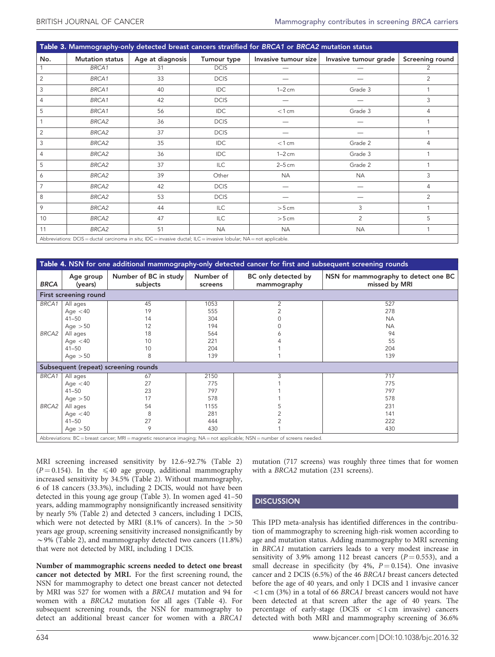<span id="page-3-0"></span>

| Table 3. Mammography-only detected breast cancers stratified for BRCA1 or BRCA2 mutation status |                                                                                                                      |                  |             |                      |                       |                 |  |
|-------------------------------------------------------------------------------------------------|----------------------------------------------------------------------------------------------------------------------|------------------|-------------|----------------------|-----------------------|-----------------|--|
| No.                                                                                             | <b>Mutation status</b>                                                                                               | Age at diagnosis | Tumour type | Invasive tumour size | Invasive tumour grade | Screening round |  |
|                                                                                                 | BRCA1                                                                                                                | 31               | <b>DCIS</b> |                      |                       | $\overline{2}$  |  |
| 2                                                                                               | BRCA1                                                                                                                | 33               | <b>DCIS</b> |                      |                       | $\overline{2}$  |  |
| 3                                                                                               | BRCA1                                                                                                                | 40               | IDC         | $1-2$ cm             | Grade 3               |                 |  |
| $\overline{4}$                                                                                  | BRCA1                                                                                                                | 42               | <b>DCIS</b> |                      |                       | 3               |  |
| 5                                                                                               | BRCA1                                                                                                                | 56               | <b>IDC</b>  | $<$ 1 cm             | Grade 3               | 4               |  |
|                                                                                                 | BRCA2                                                                                                                | 36               | <b>DCIS</b> |                      |                       |                 |  |
| 2                                                                                               | BRCA2                                                                                                                | 37               | <b>DCIS</b> |                      |                       |                 |  |
| 3                                                                                               | BRCA2                                                                                                                | 35               | IDC         | $<$ 1 cm             | Grade 2               | 4               |  |
| $\overline{4}$                                                                                  | BRCA2                                                                                                                | 36               | IDC         | $1-2$ cm             | Grade 3               |                 |  |
| 5                                                                                               | BRCA2                                                                                                                | 37               | <b>ILC</b>  | $2-5$ cm             | Grade 2               |                 |  |
| 6                                                                                               | BRCA2                                                                                                                | 39               | Other       | <b>NA</b>            | <b>NA</b>             | 3               |  |
| $\overline{7}$                                                                                  | BRCA2                                                                                                                | 42               | <b>DCIS</b> |                      |                       | 4               |  |
| 8                                                                                               | BRCA2                                                                                                                | 53               | <b>DCIS</b> |                      |                       | $\overline{2}$  |  |
| 9                                                                                               | BRCA2                                                                                                                | 44               | ILC         | $>5$ cm              | 3                     |                 |  |
| 10                                                                                              | BRCA2                                                                                                                | 47               | ILC         | $>5$ cm              | $\overline{2}$        | 5               |  |
| 11                                                                                              | BRCA2                                                                                                                | 51               | <b>NA</b>   | <b>NA</b>            | <b>NA</b>             |                 |  |
|                                                                                                 | Abbreviations: DCIS = ductal carcinoma in situ: IDC = invasive ductal: II C = invasive lobular: NA = not applicable. |                  |             |                      |                       |                 |  |

Abbreviations: DCIS = ductal carcinoma *in situ*; IDC = invasive ductal; ILC = invasive lobular; NA = not applicable.

| Table 4. NSN for one additional mammography-only detected cancer for first and subsequent screening rounds                |                                                                                                      |                                             |                                                        |                                    |                                                                |  |  |  |  |
|---------------------------------------------------------------------------------------------------------------------------|------------------------------------------------------------------------------------------------------|---------------------------------------------|--------------------------------------------------------|------------------------------------|----------------------------------------------------------------|--|--|--|--|
| <b>BRCA</b>                                                                                                               | Age group<br>(years)                                                                                 | Number of BC in study<br>subjects           | Number of<br>screens                                   | BC only detected by<br>mammography | NSN for mammography to detect one BC<br>missed by MRI          |  |  |  |  |
| First screening round                                                                                                     |                                                                                                      |                                             |                                                        |                                    |                                                                |  |  |  |  |
| BRCA1<br>BRCA2                                                                                                            | All ages<br>Age $<$ 40<br>$41 - 50$<br>Age $>50$<br>All ages<br>Age $<$ 40<br>$41 - 50$<br>Age $>50$ | 45<br>19<br>14<br>12<br>18<br>10<br>10<br>8 | 1053<br>555<br>304<br>194<br>564<br>221<br>204<br>139  | $\overline{2}$                     | 527<br>278<br><b>NA</b><br><b>NA</b><br>94<br>55<br>204<br>139 |  |  |  |  |
| Subsequent (repeat) screening rounds                                                                                      |                                                                                                      |                                             |                                                        |                                    |                                                                |  |  |  |  |
| BRCA1<br>BRCA2                                                                                                            | All ages<br>Age $<$ 40<br>$41 - 50$<br>Age $>50$<br>All ages<br>Age $<$ 40<br>$41 - 50$<br>Age $>50$ | 67<br>27<br>23<br>17<br>54<br>8<br>27<br>9  | 2150<br>775<br>797<br>578<br>1155<br>281<br>444<br>430 | 3                                  | 717<br>775<br>797<br>578<br>231<br>141<br>222<br>430           |  |  |  |  |
| Abbreviations: BC = breast cancer; MRI = magnetic resonance imaging; NA = not applicable; NSN = number of screens needed. |                                                                                                      |                                             |                                                        |                                    |                                                                |  |  |  |  |

MRI screening increased sensitivity by 12.6–92.7% [\(Table 2](#page-2-0))  $(P = 0.154)$ . In the  $\leq 40$  age group, additional mammography increased sensitivity by 34.5% ([Table 2\)](#page-2-0). Without mammography, 6 of 18 cancers (33.3%), including 2 DCIS, would not have been detected in this young age group (Table 3). In women aged 41–50 years, adding mammography nonsignificantly increased sensitivity by nearly 5% [\(Table 2](#page-2-0)) and detected 3 cancers, including 1 DCIS, which were not detected by MRI (8.1% of cancers). In the  $>50$ years age group, screening sensitivity increased nonsignificantly by  $\sim$  9% [\(Table 2](#page-2-0)), and mammography detected two cancers (11.8%) that were not detected by MRI, including 1 DCIS.

Number of mammographic screens needed to detect one breast cancer not detected by MRI. For the first screening round, the NSN for mammography to detect one breast cancer not detected by MRI was 527 for women with a BRCA1 mutation and 94 for women with a BRCA2 mutation for all ages (Table 4). For subsequent screening rounds, the NSN for mammography to detect an additional breast cancer for women with a BRCA1

mutation (717 screens) was roughly three times that for women with a BRCA2 mutation (231 screens).

# **DISCUSSION**

This IPD meta-analysis has identified differences in the contribution of mammography to screening high-risk women according to age and mutation status. Adding mammography to MRI screening in BRCA1 mutation carriers leads to a very modest increase in sensitivity of 3.9% among 112 breast cancers ( $P = 0.553$ ), and a small decrease in specificity (by 4%,  $P = 0.154$ ). One invasive cancer and 2 DCIS (6.5%) of the 46 BRCA1 breast cancers detected before the age of 40 years, and only 1 DCIS and 1 invasive cancer  $<$ 1 cm (3%) in a total of 66 BRCA1 breast cancers would not have been detected at that screen after the age of 40 years. The percentage of early-stage (DCIS or  $\lt$ 1 cm invasive) cancers detected with both MRI and mammography screening of 36.6%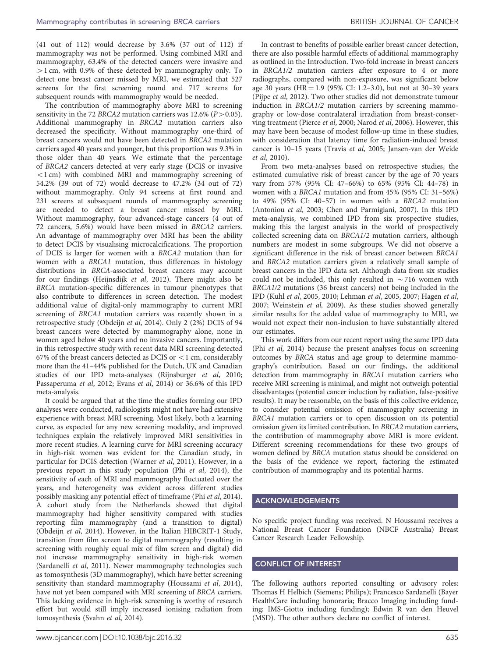(41 out of 112) would decrease by 3.6% (37 out of 112) if mammography was not be performed. Using combined MRI and mammography, 63.4% of the detected cancers were invasive and  $>1$  cm, with 0.9% of these detected by mammography only. To detect one breast cancer missed by MRI, we estimated that 527 screens for the first screening round and 717 screens for subsequent rounds with mammography would be needed.

The contribution of mammography above MRI to screening sensitivity in the 72 BRCA2 mutation carriers was  $12.6\%$  ( $P > 0.05$ ). Additional mammography in BRCA2 mutation carriers also decreased the specificity. Without mammography one-third of breast cancers would not have been detected in BRCA2 mutation carriers aged 40 years and younger, but this proportion was 9.3% in those older than 40 years. We estimate that the percentage of BRCA2 cancers detected at very early stage (DCIS or invasive  $(1)$  cm) with combined MRI and mammography screening of 54.2% (39 out of 72) would decrease to 47.2% (34 out of 72) without mammography. Only 94 screens at first round and 231 screens at subsequent rounds of mammography screening are needed to detect a breast cancer missed by MRI. Without mammography, four advanced-stage cancers (4 out of 72 cancers, 5.6%) would have been missed in BRCA2 carriers. An advantage of mammography over MRI has been the ability to detect DCIS by visualising microcalcifications. The proportion of DCIS is larger for women with a BRCA2 mutation than for women with a BRCA1 mutation, thus differences in histology distributions in BRCA-associated breast cancers may account for our findings ([Heijnsdijk](#page-5-0) et al, 2012). There might also be BRCA mutation-specific differences in tumour phenotypes that also contribute to differences in screen detection. The modest additional value of digital-only mammography to current MRI screening of BRCA1 mutation carriers was recently shown in a retrospective study [\(Obdeijn](#page-5-0) et al, 2014). Only 2 (2%) DCIS of 94 breast cancers were detected by mammography alone, none in women aged below 40 years and no invasive cancers. Importantly, in this retrospective study with recent data MRI screening detected 67% of the breast cancers detected as DCIS or  $<$  1 cm, considerably more than the 41–44% published for the Dutch, UK and Canadian studies of our IPD meta-analyses [\(Rijnsburger](#page-5-0) et al, 2010; [Passaperuma](#page-5-0) et al, 2012; Evans et al[, 2014\)](#page-5-0) or 36.6% of this IPD meta-analysis.

It could be argued that at the time the studies forming our IPD analyses were conducted, radiologists might not have had extensive experience with breast MRI screening. Most likely, both a learning curve, as expected for any new screening modality, and improved techniques explain the relatively improved MRI sensitivities in more recent studies. A learning curve for MRI screening accuracy in high-risk women was evident for the Canadian study, in particular for DCIS detection ([Warner](#page-6-0) et al, 2011). However, in a previous report in this study population (Phi et al[, 2014](#page-5-0)), the sensitivity of each of MRI and mammography fluctuated over the years, and heterogeneity was evident across different studies possibly masking any potential effect of timeframe (Phi et al[, 2014](#page-5-0)). A cohort study from the Netherlands showed that digital mammography had higher sensitivity compared with studies reporting film mammography (and a transition to digital) ([Obdeijn](#page-5-0) et al, 2014). However, in the Italian HIBCRIT-1 Study, transition from film screen to digital mammography (resulting in screening with roughly equal mix of film screen and digital) did not increase mammography sensitivity in high-risk women ([Sardanelli](#page-6-0) et al, 2011). Newer mammography technologies such as tomosynthesis (3D mammography), which have better screening sensitivity than standard mammography ([Houssami](#page-5-0) et al, 2014), have not yet been compared with MRI screening of BRCA carriers. This lacking evidence in high-risk screening is worthy of research effort but would still imply increased ionising radiation from tomosynthesis (Svahn et al[, 2014\)](#page-6-0).

In contrast to benefits of possible earlier breast cancer detection, there are also possible harmful effects of additional mammography as outlined in the Introduction. Two-fold increase in breast cancers in BRCA1/2 mutation carriers after exposure to 4 or more radiographs, compared with non-exposure, was significant below age 30 years ( $HR = 1.9$  (95% CI: 1.2–3.0), but not at 30–39 years (Pijpe et al[, 2012\)](#page-5-0). Two other studies did not demonstrate tumour induction in BRCA1/2 mutation carriers by screening mammography or low-dose contralateral irradiation from breast-conserving treatment [\(Pierce](#page-5-0) et al, 2000; [Narod](#page-5-0) et al, 2006). However, this may have been because of modest follow-up time in these studies, with consideration that latency time for radiation-induced breast cancer is 10–15 years [\(Travis](#page-6-0) et al, 2005; [Jansen-van der Weide](#page-5-0) et al[, 2010\)](#page-5-0).

From two meta-analyses based on retrospective studies, the estimated cumulative risk of breast cancer by the age of 70 years vary from 57% (95% CI: 47–66%) to 65% (95% CI: 44–78) in women with a BRCA1 mutation and from 45% (95% CI: 31–56%) to 49% (95% CI: 40–57) in women with a BRCA2 mutation ([Antoniou](#page-5-0) et al, 2003; [Chen and Parmigiani, 2007](#page-5-0)). In this IPD meta-analysis, we combined IPD from six prospective studies, making this the largest analysis in the world of prospectively collected screening data on BRCA1/2 mutation carriers, although numbers are modest in some subgroups. We did not observe a significant difference in the risk of breast cancer between BRCA1 and BRCA2 mutation carriers given a relatively small sample of breast cancers in the IPD data set. Although data from six studies could not be included, this only resulted in  $\sim$  716 women with BRCA1/2 mutations (36 breast cancers) not being included in the IPD (Kuhl et al[, 2005, 2010](#page-5-0); Lehman et al[, 2005, 2007; Hagen](#page-5-0) et al, [2007](#page-5-0); [Weinstein](#page-6-0) et al, 2009). As these studies showed generally similar results for the added value of mammography to MRI, we would not expect their non-inclusion to have substantially altered our estimates.

This work differs from our recent report using the same IPD data (Phi et al[, 2014\)](#page-5-0) because the present analyses focus on screening outcomes by BRCA status and age group to determine mammography's contribution. Based on our findings, the additional detection from mammography in BRCA1 mutation carriers who receive MRI screening is minimal, and might not outweigh potential disadvantages (potential cancer induction by radiation, false-positive results). It may be reasonable, on the basis of this collective evidence, to consider potential omission of mammography screening in BRCA1 mutation carriers or to open discussion on its potential omission given its limited contribution. In BRCA2 mutation carriers, the contribution of mammography above MRI is more evident. Different screening recommendations for these two groups of women defined by BRCA mutation status should be considered on the basis of the evidence we report, factoring the estimated contribution of mammography and its potential harms.

## ACKNOWLEDGEMENTS

No specific project funding was received. N Houssami receives a National Breast Cancer Foundation (NBCF Australia) Breast Cancer Research Leader Fellowship.

## CONFLICT OF INTEREST

The following authors reported consulting or advisory roles: Thomas H Helbich (Siemens; Philips); Francesco Sardanelli (Bayer HealthCare including honoraria; Bracco Imaging including funding; IMS-Giotto including funding); Edwin R van den Heuvel (MSD). The other authors declare no conflict of interest.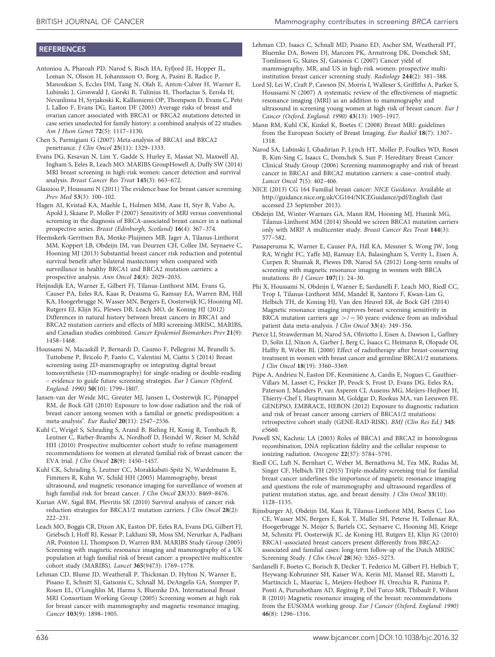# <span id="page-5-0"></span>**REFERENCES**

- Antoniou A, Pharoah PD, Narod S, Risch HA, Eyfjord JE, Hopper JL, Loman N, Olsson H, Johannsson O, Borg A, Pasini B, Radice P, Manoukian S, Eccles DM, Tang N, Olah E, Anton-Culver H, Warner E, Lubinski J, Gronwald J, Gorski B, Tulinius H, Thorlacius S, Eerola H, Nevanlinna H, Syrjakoski K, Kallioniemi OP, Thompson D, Evans C, Peto J, Lalloo F, Evans DG, Easton DF (2003) Average risks of breast and ovarian cancer associated with BRCA1 or BRCA2 mutations detected in case series unselected for family history: a combined analysis of 22 studies. Am J Hum Genet 72(5): 1117–1130.
- Chen S, Parmigiani G (2007) Meta-analysis of BRCA1 and BRCA2 penetrance. J Clin Oncol 25(11): 1329–1333.
- Evans DG, Kesavan N, Lim Y, Gadde S, Hurley E, Massat NJ, Maxwell AJ, Ingham S, Eeles R, Leach MO. MARIBS GroupHowell A, Duffy SW (2014) MRI breast screening in high-risk women: cancer detection and survival analysis. Breast Cancer Res Treat 145(3): 663–672.
- Glasziou P, Houssami N (2011) The evidence base for breast cancer screening. Prev Med 53(3): 100–102.
- Hagen AI, Kvistad KA, Maehle L, Holmen MM, Aase H, Styr B, Vabo A, Apold J, Skaane P, Moller P (2007) Sensitivity of MRI versus conventional screening in the diagnosis of BRCA-associated breast cancer in a national prospective series. Breast (Edinburgh, Scotland) 16(4): 367–374.
- Heemskerk-Gerritsen BA, Menke-Pluijmers MB, Jager A, Tilanus-Linthorst MM, Koppert LB, Obdeijn IM, van Deurzen CH, Collee JM, Seynaeve C, Hooning MJ (2013) Substantial breast cancer risk reduction and potential survival benefit after bilateral mastectomy when compared with surveillance in healthy BRCA1 and BRCA2 mutation carriers: a prospective analysis. Ann Oncol 24(8): 2029–2035.
- Heijnsdijk EA, Warner E, Gilbert FJ, Tilanus-Linthorst MM, Evans G, Causer PA, Eeles RA, Kaas R, Draisma G, Ramsay EA, Warren RM, Hill KA, Hoogerbrugge N, Wasser MN, Bergers E, Oosterwijk JC, Hooning MJ, Rutgers EJ, Klijn JG, Plewes DB, Leach MO, de Koning HJ (2012) Differences in natural history between breast cancers in BRCA1 and BRCA2 mutation carriers and effects of MRI screening-MRISC, MARIBS, and Canadian studies combined. Cancer Epidemiol Biomarkers Prev 21(9): 1458–1468.
- Houssami N, Macaskill P, Bernardi D, Caumo F, Pellegrini M, Brunelli S, Tuttobene P, Bricolo P, Fanto C, Valentini M, Ciatto S (2014) Breast screening using 2D-mammography or integrating digital breast tomosynthesis (3D-mammography) for single-reading or double-reading – evidence to guide future screening strategies. Eur J Cancer (Oxford, England: 1990) 50(10): 1799–1807.
- Jansen-van der Weide MC, Greuter MJ, Jansen L, Oosterwijk JC, Pijnappel RM, de Bock GH (2010) Exposure to low-dose radiation and the risk of breast cancer among women with a familial or genetic predisposition: a meta-analysis". Eur Radiol 20(11): 2547–2556.
- Kuhl C, Weigel S, Schrading S, Arand B, Bieling H, Konig R, Tombach B, Leutner C, Rieber-Brambs A, Nordhoff D, Heindel W, Reiser M, Schild HH (2010) Prospective multicenter cohort study to refine management recommendations for women at elevated familial risk of breast cancer: the EVA trial. J Clin Oncol 28(9): 1450–1457.
- Kuhl CK, Schrading S, Leutner CC, Morakkabati-Spitz N, Wardelmann E, Fimmers R, Kuhn W, Schild HH (2005) Mammography, breast ultrasound, and magnetic resonance imaging for surveillance of women at high familial risk for breast cancer. J Clin Oncol 23(33): 8469–8476.
- Kurian AW, Sigal BM, Plevritis SK (2010) Survival analysis of cancer risk reduction strategies for BRCA1/2 mutation carriers. J Clin Oncol 28(2): 222–231.
- Leach MO, Boggis CR, Dixon AK, Easton DF, Eeles RA, Evans DG, Gilbert FJ, Griebsch I, Hoff RJ, Kessar P, Lakhani SR, Moss SM, Nerurkar A, Padhani AR, Pointon LJ, Thompson D, Warren RM. MARIBS Study Group (2005) Screening with magnetic resonance imaging and mammography of a UK population at high familial risk of breast cancer: a prospective multicentre cohort study (MARIBS). Lancet 365(9473): 1769–1778.
- Lehman CD, Blume JD, Weatherall P, Thickman D, Hylton N, Warner E, Pisano E, Schnitt SJ, Gatsonis C, Schnall M, DeAngelis GA, Stomper P, Rosen EL, O'Loughlin M, Harms S, Bluemke DA. International Breast MRI Consortium Working Group (2005) Screening women at high risk for breast cancer with mammography and magnetic resonance imaging. Cancer 103(9): 1898–1905.
- Lehman CD, Isaacs C, Schnall MD, Pisano ED, Ascher SM, Weatherall PT, Bluemke DA, Bowen DJ, Marcom PK, Armstrong DK, Domchek SM, Tomlinson G, Skates SJ, Gatsonis C (2007) Cancer yield of mammography, MR, and US in high-risk women: prospective multiinstitution breast cancer screening study. Radiology 244(2): 381–388.
- Lord SJ, Lei W, Craft P, Cawson JN, Morris I, Walleser S, Griffiths A, Parker S, Houssami N (2007) A systematic review of the effectiveness of magnetic resonance imaging (MRI) as an addition to mammography and ultrasound in screening young women at high risk of breast cancer. Eur J Cancer (Oxford, England: 1990) 43(13): 1905–1917.
- Mann RM, Kuhl CK, Kinkel K, Boetes C (2008) Breast MRI: guidelines from the European Society of Breast Imaging. Eur Radiol 18(7): 1307– 1318.
- Narod SA, Lubinski J, Ghadirian P, Lynch HT, Moller P, Foulkes WD, Rosen B, Kim-Sing C, Isaacs C, Domchek S, Sun P. Hereditary Breast Cancer Clinical Study Group (2006) Screening mammography and risk of breast cancer in BRCA1 and BRCA2 mutation carriers: a case–control study. Lancet Oncol 7(5): 402–406.
- NICE (2013) CG 164 Familial breast cancer: NICE Guidance. Available at <http://guidance.nice.org.uk/CG164/NICEGuidance/pdf/English> (last accessed 23 September 2013).
- Obdeijn IM, Winter-Warnars GA, Mann RM, Hooning MJ, Hunink MG, Tilanus-Linthorst MM (2014) Should we screen BRCA1 mutation carriers only with MRI? A multicenter study. Breast Cancer Res Treat 144(3): 577–582.
- Passaperuma K, Warner E, Causer PA, Hill KA, Messner S, Wong JW, Jong RA, Wright FC, Yaffe MJ, Ramsay EA, Balasingham S, Verity L, Eisen A, Curpen B, Shumak R, Plewes DB, Narod SA (2012) Long-term results of screening with magnetic resonance imaging in women with BRCA mutations. Br J Cancer 107(1): 24–30.
- Phi X, Houssami N, Obdeijn I, Warner E, Sardanelli F, Leach MO, Riedl CC, Trop I, Tilanus-Linthorst MM, Mandel R, Santoro F, Kwan-Lim G, Helbich TH, de Koning HJ, Van den Heuvel ER, de Bock GH (2014) Magnetic resonance imaging improves breast screening sensitivity in BRCA mutation carriers age  $>$  / = 50 years: evidence from an individual patient data meta-analysis. J Clin Oncol 33(4): 349–356.
- Pierce LJ, Strawderman M, Narod SA, Oliviotto I, Eisen A, Dawson L, Gaffney D, Solin LJ, Nixon A, Garber J, Berg C, Isaacs C, Heimann R, Olopade OI, Haffty B, Weber BL (2000) Effect of radiotherapy after breast-conserving treatment in women with breast cancer and germline BRCA1/2 mutations. J Clin Oncol 18(19): 3360–3369.
- Pijpe A, Andrieu N, Easton DF, Kesminiene A, Cardis E, Nogues C, Gauthier-Villars M, Lasset C, Fricker JP, Peock S, Frost D, Evans DG, Eeles RA, Paterson J, Manders P, van Asperen CJ, Ausems MG, Meijers-Heijboer H, Thierry-Chef I, Hauptmann M, Goldgar D, Rookus MA, van Leeuwen FE. GENEPSO, EMBRACE, HEBON (2012) Exposure to diagnostic radiation and risk of breast cancer among carriers of BRCA1/2 mutations: retrospective cohort study (GENE-RAD-RISK). BMJ (Clin Res Ed.) 345: e5660.
- Powell SN, Kachnic LA (2003) Roles of BRCA1 and BRCA2 in homologous recombination, DNA replication fidelity and the cellular response to ionizing radiation. Oncogene 22(37): 5784–5791.
- Riedl CC, Luft N, Bernhart C, Weber M, Bernathova M, Tea MK, Rudas M, Singer CF, Helbich TH (2015) Triple-modality screening trial for familial breast cancer underlines the importance of magnetic resonance imaging and questions the role of mammography and ultrasound regardless of patient mutation status, age, and breast density. J Clin Oncol 33(10): 1128–1135.
- Rijnsburger AJ, Obdeijn IM, Kaas R, Tilanus-Linthorst MM, Boetes C, Loo CE, Wasser MN, Bergers E, Kok T, Muller SH, Peterse H, Tollenaar RA, Hoogerbrugge N, Meijer S, Bartels CC, Seynaeve C, Hooning MJ, Kriege M, Schmitz PI, Oosterwijk JC, de Koning HJ, Rutgers EJ, Klijn JG (2010) BRCA1-associated breast cancers present differently from BRCA2 associated and familial cases: long-term follow-up of the Dutch MRISC Screening Study. J Clin Oncol 28(36): 5265–5273.
- Sardanelli F, Boetes C, Borisch B, Decker T, Federico M, Gilbert FJ, Helbich T, Heywang-Kobrunner SH, Kaiser WA, Kerin MJ, Mansel RE, Marotti L, Martincich L, Mauriac L, Meijers-Heijboer H, Orecchia R, Panizza P, Ponti A, Purushotham AD, Regitnig P, Del Turco MR, Thibault F, Wilson R (2010) Magnetic resonance imaging of the breast: recommendations from the EUSOMA working group. Eur J Cancer (Oxford, England: 1990) 46(8): 1296–1316.